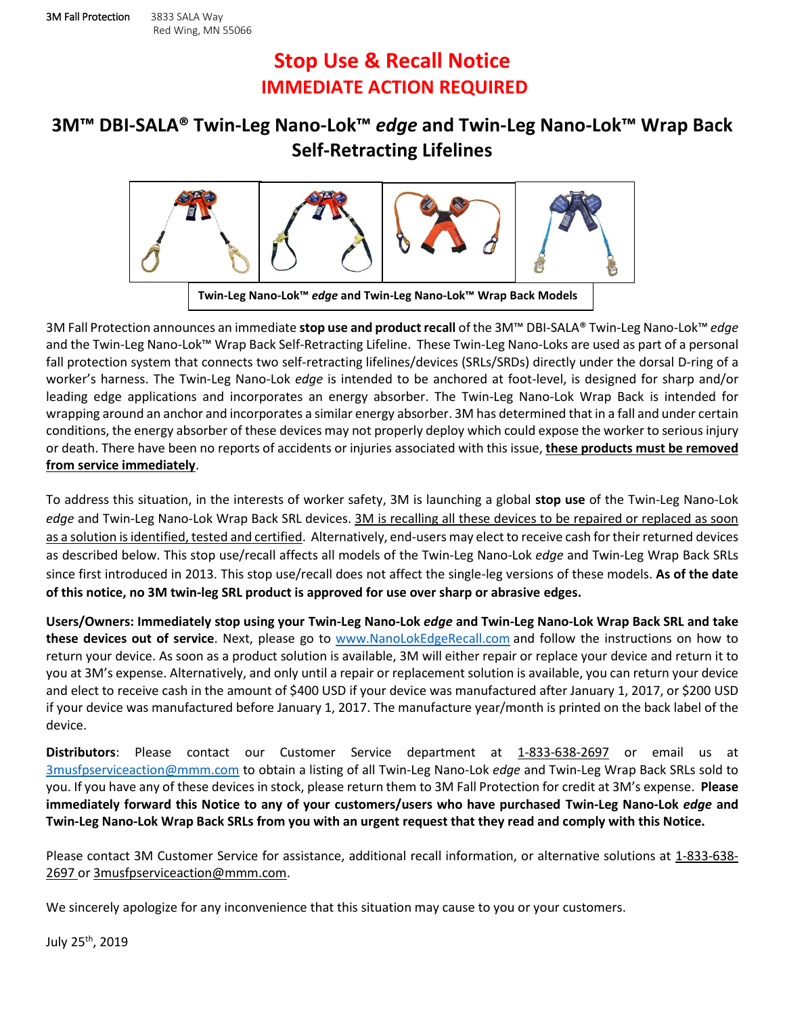## **Stop Use & Recall Notice IMMEDIATE ACTION REQUIRED**

## **3M™ DBI-SALA® Twin-Leg Nano-Lok™** *edge* **and Twin-Leg Nano-Lok™ Wrap Back Self-Retracting Lifelines**



3M Fall Protection announces an immediate **stop use and product recall** of the 3M™ DBI-SALA® Twin-Leg Nano-Lok™ *edge* and the Twin-Leg Nano-Lok™ Wrap Back Self-Retracting Lifeline. These Twin-Leg Nano-Loks are used as part of a personal fall protection system that connects two self-retracting lifelines/devices (SRLs/SRDs) directly under the dorsal D-ring of a worker's harness. The Twin-Leg Nano-Lok *edge* is intended to be anchored at foot-level, is designed for sharp and/or leading edge applications and incorporates an energy absorber. The Twin-Leg Nano-Lok Wrap Back is intended for wrapping around an anchor and incorporates a similar energy absorber. 3M has determined that in a fall and under certain conditions, the energy absorber of these devices may not properly deploy which could expose the worker to serious injury or death. There have been no reports of accidents or injuries associated with this issue, **these products must be removed from service immediately**.

To address this situation, in the interests of worker safety, 3M is launching a global **stop use** of the Twin-Leg Nano-Lok *edge* and Twin-Leg Nano-Lok Wrap Back SRL devices. 3M is recalling all these devices to be repaired or replaced as soon as a solution is identified, tested and certified. Alternatively, end-users may elect to receive cash for their returned devices as described below. This stop use/recall affects all models of the Twin-Leg Nano-Lok *edge* and Twin-Leg Wrap Back SRLs since first introduced in 2013. This stop use/recall does not affect the single-leg versions of these models. **As of the date of this notice, no 3M twin-leg SRL product is approved for use over sharp or abrasive edges.**

**Users/Owners: Immediately stop using your Twin-Leg Nano-Lok** *edge* **and Twin-Leg Nano-Lok Wrap Back SRL and take these devices out of service**. Next, please go to [www.NanoLokEdgeRecall.com](http://www.nanolokedgerecall.com/) and follow the instructions on how to return your device. As soon as a product solution is available, 3M will either repair or replace your device and return it to you at 3M's expense. Alternatively, and only until a repair or replacement solution is available, you can return your device and elect to receive cash in the amount of \$400 USD if your device was manufactured after January 1, 2017, or \$200 USD if your device was manufactured before January 1, 2017. The manufacture year/month is printed on the back label of the device.

**Distributors**: Please contact our Customer Service department at 1-833-638-2697 or email us at [3musfpserviceaction@mmm.com](mailto:3musfpserviceaction@mmm.com) to obtain a listing of all Twin-Leg Nano-Lok *edge* and Twin-Leg Wrap Back SRLs sold to you. If you have any of these devices in stock, please return them to 3M Fall Protection for credit at 3M's expense. **Please immediately forward this Notice to any of your customers/users who have purchased Twin-Leg Nano-Lok** *edge* **and Twin-Leg Nano-Lok Wrap Back SRLs from you with an urgent request that they read and comply with this Notice.**

Please contact 3M Customer Service for assistance, additional recall information, or alternative solutions at 1-833-638- 2697 or [3musfpserviceaction@mmm.com.](mailto:3musfpserviceaction@mmm.com)

We sincerely apologize for any inconvenience that this situation may cause to you or your customers.

July 25th, 2019